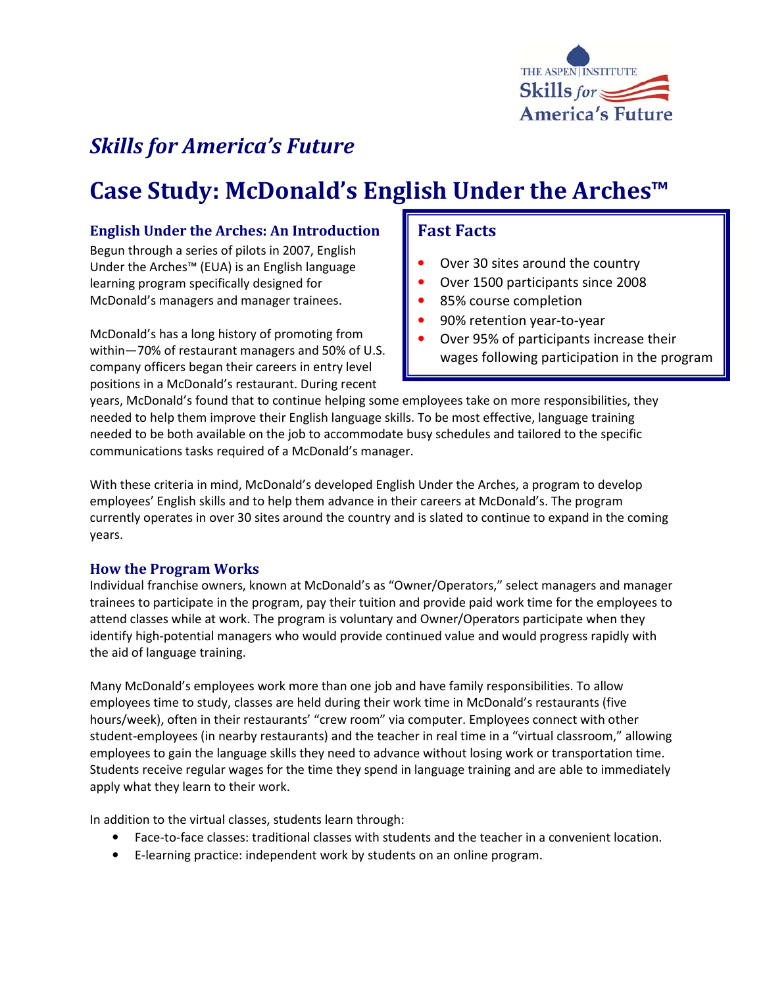

## Skills for America's Future

# Case Study: McDonald's English Under the Arches™

#### English Under the Arches: An Introduction

Begun through a series of pilots in 2007, English Under the Arches™ (EUA) is an English language learning program specifically designed for McDonald's managers and manager trainees.

McDonald's has a long history of promoting from within—70% of restaurant managers and 50% of U.S. company officers began their careers in entry level positions in a McDonald's restaurant. During recent

## Fast Facts

- Over 30 sites around the country
- Over 1500 participants since 2008
- 85% course completion
- 90% retention year-to-year
- Over 95% of participants increase their wages following participation in the program

years, McDonald's found that to continue helping some employees take on more responsibilities, they needed to help them improve their English language skills. To be most effective, language training needed to be both available on the job to accommodate busy schedules and tailored to the specific communications tasks required of a McDonald's manager.

With these criteria in mind, McDonald's developed English Under the Arches, a program to develop employees' English skills and to help them advance in their careers at McDonald's. The program currently operates in over 30 sites around the country and is slated to continue to expand in the coming years.

## How the Program Works

Individual franchise owners, known at McDonald's as "Owner/Operators," select managers and manager trainees to participate in the program, pay their tuition and provide paid work time for the employees to attend classes while at work. The program is voluntary and Owner/Operators participate when they identify high-potential managers who would provide continued value and would progress rapidly with the aid of language training.

Many McDonald's employees work more than one job and have family responsibilities. To allow employees time to study, classes are held during their work time in McDonald's restaurants (five hours/week), often in their restaurants' "crew room" via computer. Employees connect with other student-employees (in nearby restaurants) and the teacher in real time in a "virtual classroom," allowing employees to gain the language skills they need to advance without losing work or transportation time. Students receive regular wages for the time they spend in language training and are able to immediately apply what they learn to their work.

In addition to the virtual classes, students learn through:

- Face-to-face classes: traditional classes with students and the teacher in a convenient location.
- E-learning practice: independent work by students on an online program.